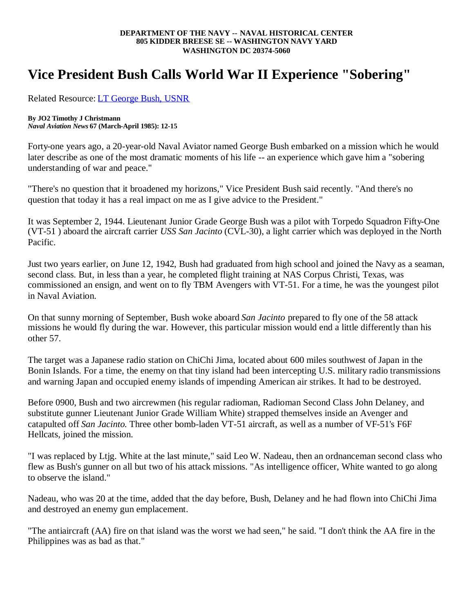## **DEPARTMENT OF THE NAVY -- NAVAL HISTORICAL CENTER 805 KIDDER BREESE SE -- WASHINGTON NAVY YARD WASHINGTON DC 20374-5060**

## **Vice President Bush Calls World War II Experience "Sobering"**

Related Resource: LT George Bush, USNR

## **By JO2 Timothy J Christmann**

*Naval Aviation News* **67 (March-April 1985): 12-15**

Forty-one years ago, a 20-year-old Naval Aviator named George Bush embarked on a mission which he would later describe as one of the most dramatic moments of his life -- an experience which gave him a "sobering understanding of war and peace."

"There's no question that it broadened my horizons," Vice President Bush said recently. "And there's no question that today it has a real impact on me as I give advice to the President."

It was September 2, 1944. Lieutenant Junior Grade George Bush was a pilot with Torpedo Squadron Fifty-One (VT-51 ) aboard the aircraft carrier *USS San Jacinto* (CVL-30), a light carrier which was deployed in the North Pacific.

Just two years earlier, on June 12, 1942, Bush had graduated from high school and joined the Navy as a seaman, second class. But, in less than a year, he completed flight training at NAS Corpus Christi, Texas, was commissioned an ensign, and went on to fly TBM Avengers with VT-51. For a time, he was the youngest pilot in Naval Aviation.

On that sunny morning of September, Bush woke aboard *San Jacinto* prepared to fly one of the 58 attack missions he would fly during the war. However, this particular mission would end a little differently than his other 57.

The target was a Japanese radio station on ChiChi Jima, located about 600 miles southwest of Japan in the Bonin Islands. For a time, the enemy on that tiny island had been intercepting U.S. military radio transmissions and warning Japan and occupied enemy islands of impending American air strikes. It had to be destroyed.

Before 0900, Bush and two aircrewmen (his regular radioman, Radioman Second Class John Delaney, and substitute gunner Lieutenant Junior Grade William White) strapped themselves inside an Avenger and catapulted off *San Jacinto*. Three other bomb-laden VT-51 aircraft, as well as a number of VF-51's F6F Hellcats, joined the mission.

"I was replaced by Ltjg. White at the last minute," said Leo W. Nadeau, then an ordnanceman second class who flew as Bush's gunner on all but two of his attack missions. "As intelligence officer, White wanted to go along to observe the island."

Nadeau, who was 20 at the time, added that the day before, Bush, Delaney and he had flown into ChiChi Jima and destroyed an enemy gun emplacement.

"The antiaircraft (AA) fire on that island was the worst we had seen," he said. "I don't think the AA fire in the Philippines was as bad as that."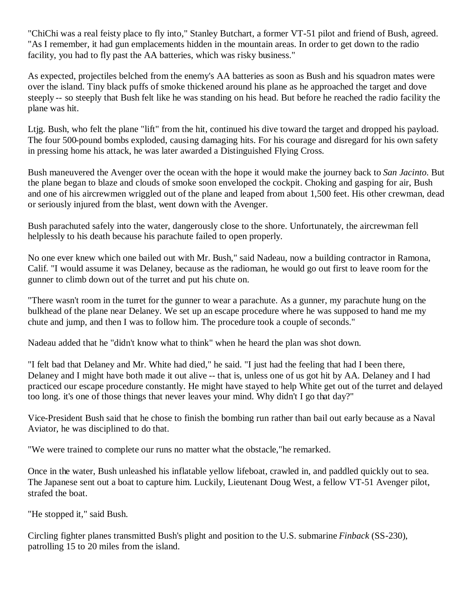"ChiChi was a real feisty place to fly into," Stanley Butchart, a former VT-51 pilot and friend of Bush, agreed. "As I remember, it had gun emplacements hidden in the mountain areas. In order to get down to the radio facility, you had to fly past the AA batteries, which was risky business."

As expected, projectiles belched from the enemy's AA batteries as soon as Bush and his squadron mates were over the island. Tiny black puffs of smoke thickened around his plane as he approached the target and dove steeply -- so steeply that Bush felt like he was standing on his head. But before he reached the radio facility the plane was hit.

Ltjg. Bush, who felt the plane "lift" from the hit, continued his dive toward the target and dropped his payload. The four 500-pound bombs exploded, causing damaging hits. For his courage and disregard for his own safety in pressing home his attack, he was later awarded a Distinguished Flying Cross.

Bush maneuvered the Avenger over the ocean with the hope it would make the journey back to *San Jacinto*. But the plane began to blaze and clouds of smoke soon enveloped the cockpit. Choking and gasping for air, Bush and one of his aircrewmen wriggled out of the plane and leaped from about 1,500 feet. His other crewman, dead or seriously injured from the blast, went down with the Avenger.

Bush parachuted safely into the water, dangerously close to the shore. Unfortunately, the aircrewman fell helplessly to his death because his parachute failed to open properly.

No one ever knew which one bailed out with Mr. Bush," said Nadeau, now a building contractor in Ramona, Calif. "I would assume it was Delaney, because as the radioman, he would go out first to leave room for the gunner to climb down out of the turret and put his chute on.

"There wasn't room in the turret for the gunner to wear a parachute. As a gunner, my parachute hung on the bulkhead of the plane near Delaney. We set up an escape procedure where he was supposed to hand me my chute and jump, and then I was to follow him. The procedure took a couple of seconds."

Nadeau added that he "didn't know what to think" when he heard the plan was shot down.

"I felt bad that Delaney and Mr. White had died," he said. "I just had the feeling that had I been there, Delaney and I might have both made it out alive -- that is, unless one of us got hit by AA. Delaney and I had practiced our escape procedure constantly. He might have stayed to help White get out of the turret and delayed too long. it's one of those things that never leaves your mind. Why didn't I go that day?"

Vice-President Bush said that he chose to finish the bombing run rather than bail out early because as a Naval Aviator, he was disciplined to do that.

"We were trained to complete our runs no matter what the obstacle,"he remarked.

Once in the water, Bush unleashed his inflatable yellow lifeboat, crawled in, and paddled quickly out to sea. The Japanese sent out a boat to capture him. Luckily, Lieutenant Doug West, a fellow VT-51 Avenger pilot, strafed the boat.

"He stopped it," said Bush.

Circling fighter planes transmitted Bush's plight and position to the U.S. submarine *Finback* (SS-230), patrolling 15 to 20 miles from the island.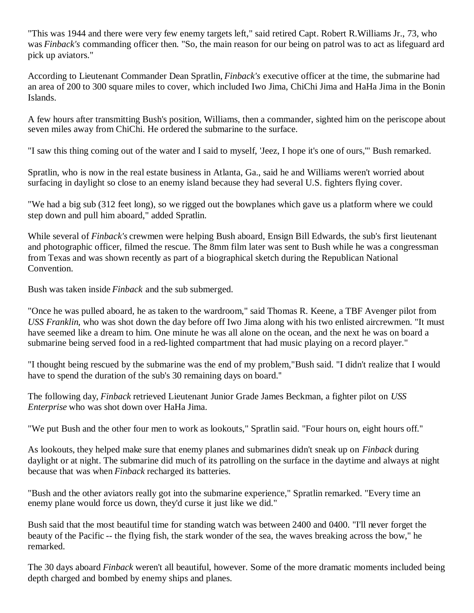"This was 1944 and there were very few enemy targets left," said retired Capt. Robert R.Williams Jr., 73, who was *Finback's* commanding officer then. "So, the main reason for our being on patrol was to act as lifeguard ard pick up aviators."

According to Lieutenant Commander Dean Spratlin, *Finback's* executive officer at the time, the submarine had an area of 200 to 300 square miles to cover, which included Iwo Jima, ChiChi Jima and HaHa Jima in the Bonin Islands.

A few hours after transmitting Bush's position, Williams, then a commander, sighted him on the periscope about seven miles away from ChiChi. He ordered the submarine to the surface.

"I saw this thing coming out of the water and I said to myself, 'Jeez, I hope it's one of ours,'" Bush remarked.

Spratlin, who is now in the real estate business in Atlanta, Ga., said he and Williams weren't worried about surfacing in daylight so close to an enemy island because they had several U.S. fighters flying cover.

"We had a big sub (312 feet long), so we rigged out the bowplanes which gave us a platform where we could step down and pull him aboard," added Spratlin.

While several of *Finback's* crewmen were helping Bush aboard, Ensign Bill Edwards, the sub's first lieutenant and photographic officer, filmed the rescue. The 8mm film later was sent to Bush while he was a congressman from Texas and was shown recently as part of a biographical sketch during the Republican National Convention.

Bush was taken inside *Finback* and the sub submerged.

"Once he was pulled aboard, he as taken to the wardroom," said Thomas R. Keene, a TBF Avenger pilot from *USS Franklin*, who was shot down the day before off Iwo Jima along with his two enlisted aircrewmen. "It must have seemed like a dream to him. One minute he was all alone on the ocean, and the next he was on board a submarine being served food in a red-lighted compartment that had music playing on a record player."

"I thought being rescued by the submarine was the end of my problem,"Bush said. "I didn't realize that I would have to spend the duration of the sub's 30 remaining days on board.''

The following day, *Finback* retrieved Lieutenant Junior Grade James Beckman, a fighter pilot on *USS Enterprise* who was shot down over HaHa Jima.

"We put Bush and the other four men to work as lookouts," Spratlin said. "Four hours on, eight hours off.''

As lookouts, they helped make sure that enemy planes and submarines didn't sneak up on *Finback* during daylight or at night. The submarine did much of its patrolling on the surface in the daytime and always at night because that was when *Finback* recharged its batteries.

"Bush and the other aviators really got into the submarine experience," Spratlin remarked. "Every time an enemy plane would force us down, they'd curse it just like we did."

Bush said that the most beautiful time for standing watch was between 2400 and 0400. "I'll never forget the beauty of the Pacific -- the flying fish, the stark wonder of the sea, the waves breaking across the bow," he remarked.

The 30 days aboard *Finback* weren't all beautiful, however. Some of the more dramatic moments included being depth charged and bombed by enemy ships and planes.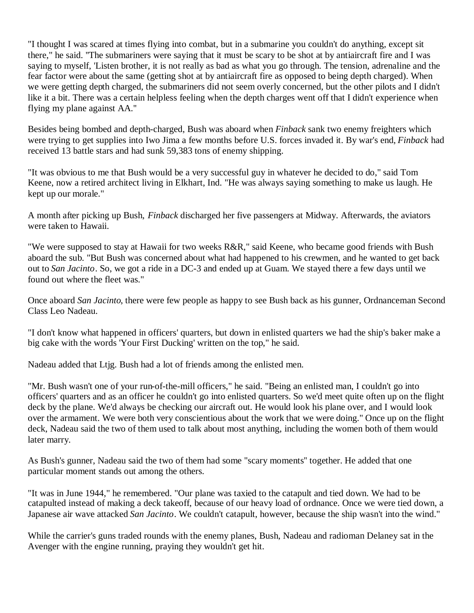"I thought I was scared at times flying into combat, but in a submarine you couldn't do anything, except sit there," he said. ''The submariners were saying that it must be scary to be shot at by antiaircraft fire and I was saying to myself, 'Listen brother, it is not really as bad as what you go through. The tension, adrenaline and the fear factor were about the same (getting shot at by antiaircraft fire as opposed to being depth charged). When we were getting depth charged, the submariners did not seem overly concerned, but the other pilots and I didn't like it a bit. There was a certain helpless feeling when the depth charges went off that I didn't experience when flying my plane against AA.''

Besides being bombed and depth-charged, Bush was aboard when *Finback* sank two enemy freighters which were trying to get supplies into Iwo Jima a few months before U.S. forces invaded it. By war's end, *Finback* had received 13 battle stars and had sunk 59,383 tons of enemy shipping.

"It was obvious to me that Bush would be a very successful guy in whatever he decided to do," said Tom Keene, now a retired architect living in Elkhart, Ind. "He was always saying something to make us laugh. He kept up our morale."

A month after picking up Bush, *Finback* discharged her five passengers at Midway. Afterwards, the aviators were taken to Hawaii.

"We were supposed to stay at Hawaii for two weeks R&R," said Keene, who became good friends with Bush aboard the sub. "But Bush was concerned about what had happened to his crewmen, and he wanted to get back out to *San Jacinto*. So, we got a ride in a DC-3 and ended up at Guam. We stayed there a few days until we found out where the fleet was."

Once aboard *San Jacinto*, there were few people as happy to see Bush back as his gunner, Ordnanceman Second Class Leo Nadeau.

"I don't know what happened in officers' quarters, but down in enlisted quarters we had the ship's baker make a big cake with the words 'Your First Ducking' written on the top," he said.

Nadeau added that Ltjg. Bush had a lot of friends among the enlisted men.

"Mr. Bush wasn't one of your run-of-the-mill officers," he said. "Being an enlisted man, I couldn't go into officers' quarters and as an officer he couldn't go into enlisted quarters. So we'd meet quite often up on the flight deck by the plane. We'd always be checking our aircraft out. He would look his plane over, and I would look over the armament. We were both very conscientious about the work that we were doing." Once up on the flight deck, Nadeau said the two of them used to talk about most anything, including the women both of them would later marry.

As Bush's gunner, Nadeau said the two of them had some "scary moments'' together. He added that one particular moment stands out among the others.

"It was in June 1944," he remembered. "Our plane was taxied to the catapult and tied down. We had to be catapulted instead of making a deck takeoff, because of our heavy load of ordnance. Once we were tied down, a Japanese air wave attacked *San Jacinto*. We couldn't catapult, however, because the ship wasn't into the wind."

While the carrier's guns traded rounds with the enemy planes, Bush, Nadeau and radioman Delaney sat in the Avenger with the engine running, praying they wouldn't get hit.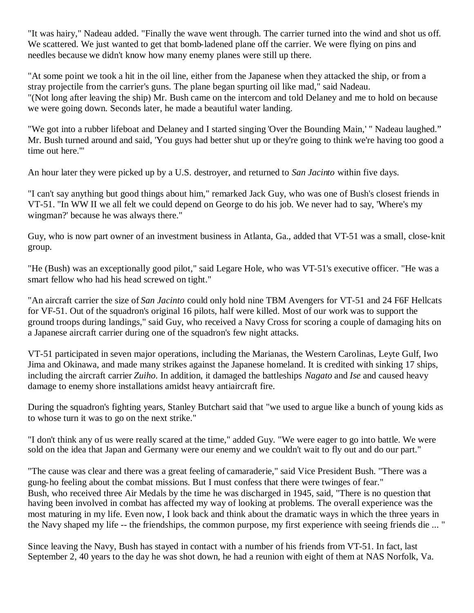"It was hairy," Nadeau added. "Finally the wave went through. The carrier turned into the wind and shot us off. We scattered. We just wanted to get that bomb-ladened plane off the carrier. We were flying on pins and needles because we didn't know how many enemy planes were still up there.

"At some point we took a hit in the oil line, either from the Japanese when they attacked the ship, or from a stray projectile from the carrier's guns. The plane began spurting oil like mad," said Nadeau. "(Not long after leaving the ship) Mr. Bush came on the intercom and told Delaney and me to hold on because we were going down. Seconds later, he made a beautiful water landing.

"We got into a rubber lifeboat and Delaney and I started singing 'Over the Bounding Main,' " Nadeau laughed." Mr. Bush turned around and said, 'You guys had better shut up or they're going to think we're having too good a time out here.'"

An hour later they were picked up by a U.S. destroyer, and returned to *San Jacinto* within five days.

"I can't say anything but good things about him," remarked Jack Guy, who was one of Bush's closest friends in VT-51. "In WW II we all felt we could depend on George to do his job. We never had to say, 'Where's my wingman?' because he was always there."

Guy, who is now part owner of an investment business in Atlanta, Ga., added that VT-51 was a small, close-knit group.

"He (Bush) was an exceptionally good pilot," said Legare Hole, who was VT-51's executive officer. "He was a smart fellow who had his head screwed on tight."

"An aircraft carrier the size of *San Jacinto* could only hold nine TBM Avengers for VT-51 and 24 F6F Hellcats for VF-51. Out of the squadron's original 16 pilots, half were killed. Most of our work was to support the ground troops during landings," said Guy, who received a Navy Cross for scoring a couple of damaging hits on a Japanese aircraft carrier during one of the squadron's few night attacks.

VT-51 participated in seven major operations, including the Marianas, the Western Carolinas, Leyte Gulf, Iwo Jima and Okinawa, and made many strikes against the Japanese homeland. It is credited with sinking 17 ships, including the aircraft carrier *Zuiho*. In addition, it damaged the battleships *Nagato* and *Ise* and caused heavy damage to enemy shore installations amidst heavy antiaircraft fire.

During the squadron's fighting years, Stanley Butchart said that "we used to argue like a bunch of young kids as to whose turn it was to go on the next strike."

"I don't think any of us were really scared at the time," added Guy. "We were eager to go into battle. We were sold on the idea that Japan and Germany were our enemy and we couldn't wait to fly out and do our part."

"The cause was clear and there was a great feeling of camaraderie," said Vice President Bush. "There was a gung-ho feeling about the combat missions. But I must confess that there were twinges of fear." Bush, who received three Air Medals by the time he was discharged in 1945, said, "There is no question that having been involved in combat has affected my way of looking at problems. The overall experience was the most maturing in my life. Even now, I look back and think about the dramatic ways in which the three years in the Navy shaped my life -- the friendships, the common purpose, my first experience with seeing friends die ... "

Since leaving the Navy, Bush has stayed in contact with a number of his friends from VT-51. In fact, last September 2, 40 years to the day he was shot down, he had a reunion with eight of them at NAS Norfolk, Va.